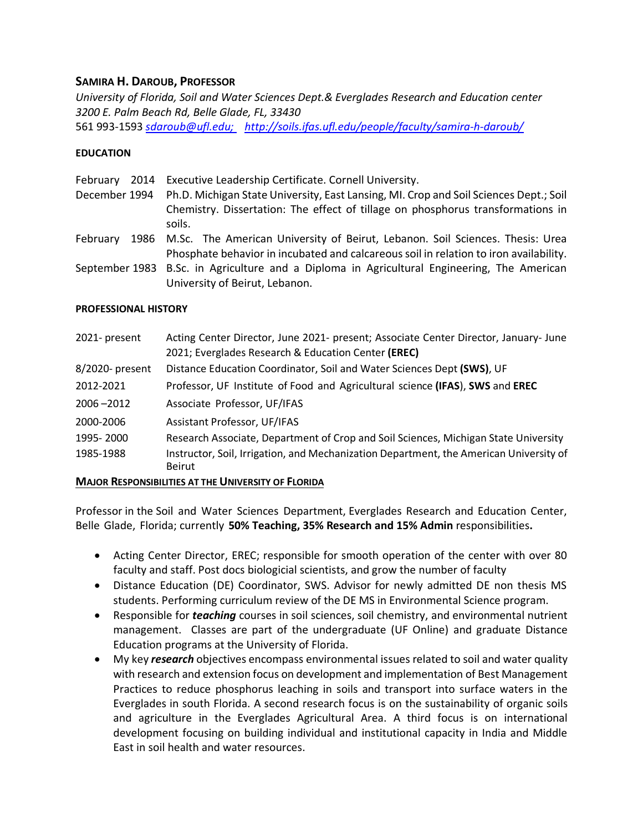## **SAMIRA H. DAROUB, PROFESSOR**

*University of Florida, Soil and Water Sciences Dept.& Everglades Research and Education center 3200 E. Palm Beach Rd, Belle Glade, FL, 33430* 561 993-1593 *[sdaroub@ufl.edu;](mailto:sdaroub@ufl.edu) <http://soils.ifas.ufl.edu/people/faculty/samira-h-daroub/>*

### **EDUCATION**

| 2014<br>February<br>December 1994 | Executive Leadership Certificate. Cornell University.<br>Ph.D. Michigan State University, East Lansing, MI. Crop and Soil Sciences Dept.; Soil<br>Chemistry. Dissertation: The effect of tillage on phosphorus transformations in<br>soils. |
|-----------------------------------|---------------------------------------------------------------------------------------------------------------------------------------------------------------------------------------------------------------------------------------------|
| February                          | 1986 M.Sc. The American University of Beirut, Lebanon. Soil Sciences. Thesis: Urea<br>Phosphate behavior in incubated and calcareous soil in relation to iron availability.                                                                 |
|                                   | September 1983 B.Sc. in Agriculture and a Diploma in Agricultural Engineering, The American                                                                                                                                                 |

#### **PROFESSIONAL HISTORY**

| 2021- present   | Acting Center Director, June 2021- present; Associate Center Director, January- June<br>2021; Everglades Research & Education Center (EREC) |
|-----------------|---------------------------------------------------------------------------------------------------------------------------------------------|
| 8/2020- present | Distance Education Coordinator, Soil and Water Sciences Dept (SWS), UF                                                                      |
| 2012-2021       | Professor, UF Institute of Food and Agricultural science (IFAS), SWS and EREC                                                               |
| $2006 - 2012$   | Associate Professor, UF/IFAS                                                                                                                |
| 2000-2006       | <b>Assistant Professor, UF/IFAS</b>                                                                                                         |
| 1995-2000       | Research Associate, Department of Crop and Soil Sciences, Michigan State University                                                         |
| 1985-1988       | Instructor, Soil, Irrigation, and Mechanization Department, the American University of<br><b>Beirut</b>                                     |

#### **MAJOR RESPONSIBILITIES AT THE UNIVERSITY OF FLORIDA**

University of Beirut, Lebanon.

Professor in the Soil and Water Sciences Department, Everglades Research and Education Center, Belle Glade, Florida; currently **50% Teaching, 35% Research and 15% Admin** responsibilities**.**

- Acting Center Director, EREC; responsible for smooth operation of the center with over 80 faculty and staff. Post docs biologicial scientists, and grow the number of faculty
- Distance Education (DE) Coordinator, SWS. Advisor for newly admitted DE non thesis MS students. Performing curriculum review of the DE MS in Environmental Science program.
- Responsible for *teaching* courses in soil sciences, soil chemistry, and environmental nutrient management. Classes are part of the undergraduate (UF Online) and graduate Distance Education programs at the University of Florida.
- My key *research* objectives encompass environmental issues related to soil and water quality with research and extension focus on development and implementation of Best Management Practices to reduce phosphorus leaching in soils and transport into surface waters in the Everglades in south Florida. A second research focus is on the sustainability of organic soils and agriculture in the Everglades Agricultural Area. A third focus is on international development focusing on building individual and institutional capacity in India and Middle East in soil health and water resources.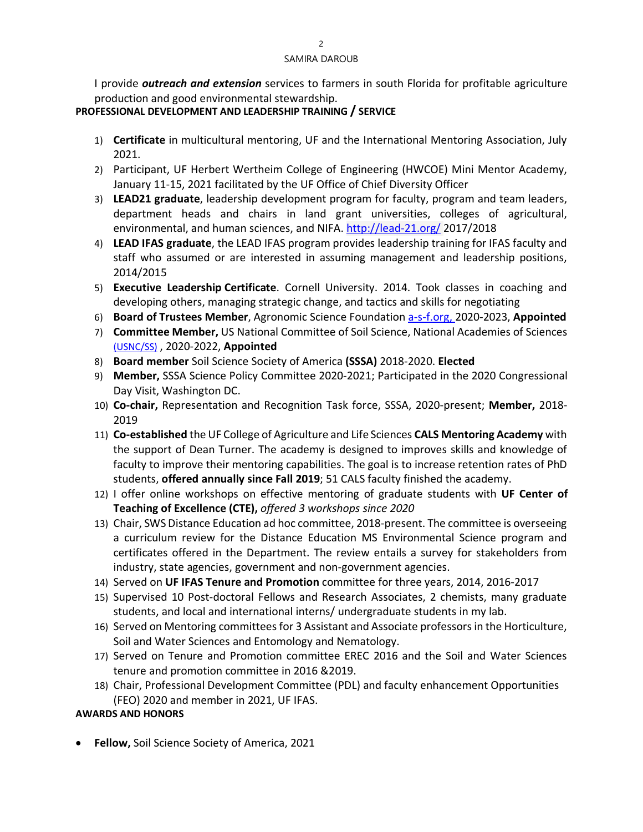I provide *outreach and extension* services to farmers in south Florida for profitable agriculture production and good environmental stewardship.

## **PROFESSIONAL DEVELOPMENT AND LEADERSHIP TRAINING / SERVICE**

- 1) **Certificate** in multicultural mentoring, UF and the International Mentoring Association, July 2021.
- 2) Participant, UF Herbert Wertheim College of Engineering (HWCOE) Mini Mentor Academy, January 11-15, 2021 facilitated by the UF Office of Chief Diversity Officer
- 3) **LEAD21 graduate**, leadership development program for faculty, program and team leaders, department heads and chairs in land grant universities, colleges of agricultural, environmental, and human sciences, and NIFA.<http://lead-21.org/> 2017/2018
- 4) **LEAD IFAS graduate**, the LEAD IFAS program provides leadership training for IFAS faculty and staff who assumed or are interested in assuming management and leadership positions, 2014/2015
- 5) **Executive Leadership Certificate**. Cornell University. 2014. Took classes in coaching and developing others, managing strategic change, and tactics and skills for negotiating
- 6) **Board of Trustees Member**, Agronomic Science Foundation [a-s-f.org, 2](https://www.a-s-f.org/)020-2023, **Appointed**
- 7) **Committee Member,** US National Committee of Soil Science, National Academies of Sciences [\(USNC/SS\)](https://www.nationalacademies.org/our-work/us-national-committee-for-soil-sciences-usnc-ss#sectionCommittee) , 2020-2022, **Appointed**
- 8) **Board member** Soil Science Society of America **(SSSA)** 2018-2020. **Elected**
- 9) **Member,** SSSA Science Policy Committee 2020-2021; Participated in the 2020 Congressional Day Visit, Washington DC.
- 10) **Co-chair,** Representation and Recognition Task force, SSSA, 2020-present; **Member,** 2018- 2019
- 11) **Co-established** the UF College of Agriculture and Life Sciences **CALS Mentoring Academy** with the support of Dean Turner. The academy is designed to improves skills and knowledge of faculty to improve their mentoring capabilities. The goal is to increase retention rates of PhD students, **offered annually since Fall 2019**; 51 CALS faculty finished the academy.
- 12) I offer online workshops on effective mentoring of graduate students with **UF Center of Teaching of Excellence (CTE),** *offered 3 workshops since 2020*
- 13) Chair, SWS Distance Education ad hoc committee, 2018-present. The committee is overseeing a curriculum review for the Distance Education MS Environmental Science program and certificates offered in the Department. The review entails a survey for stakeholders from industry, state agencies, government and non-government agencies.
- 14) Served on **UF IFAS Tenure and Promotion** committee for three years, 2014, 2016-2017
- 15) Supervised 10 Post-doctoral Fellows and Research Associates, 2 chemists, many graduate students, and local and international interns/ undergraduate students in my lab.
- 16) Served on Mentoring committees for 3 Assistant and Associate professorsin the Horticulture, Soil and Water Sciences and Entomology and Nematology.
- 17) Served on Tenure and Promotion committee EREC 2016 and the Soil and Water Sciences tenure and promotion committee in 2016 &2019.
- 18) Chair, Professional Development Committee (PDL) and faculty enhancement Opportunities (FEO) 2020 and member in 2021, UF IFAS.

# **AWARDS AND HONORS**

• **Fellow,** Soil Science Society of America, 2021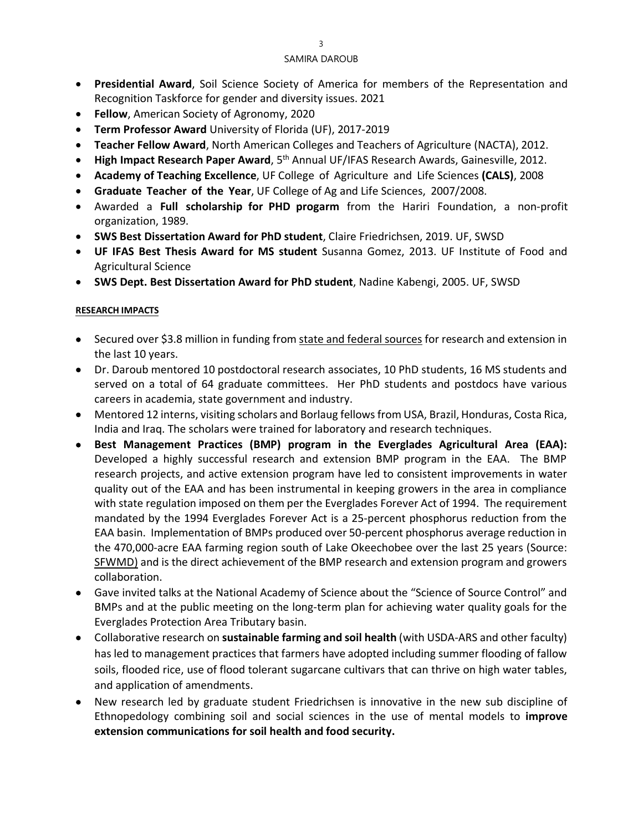- **Presidential Award**, Soil Science Society of America for members of the Representation and Recognition Taskforce for gender and diversity issues. 2021
- **Fellow**, American Society of Agronomy, 2020
- **Term Professor Award** University of Florida (UF), 2017-2019
- **Teacher Fellow Award**, North American Colleges and Teachers of Agriculture (NACTA), 2012.
- **High Impact Research Paper Award**, 5th Annual UF/IFAS Research Awards, Gainesville, 2012.
- **Academy of Teaching Excellence**, UF College of Agriculture and Life Sciences **(CALS)**, 2008
- **Graduate Teacher of the Year**, UF College of Ag and Life Sciences, 2007/2008.
- Awarded a **Full scholarship for PHD progarm** from the Hariri Foundation, a non-profit organization, 1989.
- **SWS Best Dissertation Award for PhD student**, Claire Friedrichsen, 2019. UF, SWSD
- **UF IFAS Best Thesis Award for MS student** Susanna Gomez, 2013. UF Institute of Food and Agricultural Science
- **SWS Dept. Best Dissertation Award for PhD student**, Nadine Kabengi, 2005. UF, SWSD

#### **RESEARCH IMPACTS**

- Secured over \$3.8 million in funding from state and federal sources for research and extension in the last 10 years.
- Dr. Daroub mentored 10 postdoctoral research associates, 10 PhD students, 16 MS students and served on a total of 64 graduate committees. Her PhD students and postdocs have various careers in academia, state government and industry.
- Mentored 12 interns, visiting scholars and Borlaug fellows from USA, Brazil, Honduras, Costa Rica, India and Iraq. The scholars were trained for laboratory and research techniques.
- **Best Management Practices (BMP) program in the Everglades Agricultural Area (EAA):**  Developed a highly successful research and extension BMP program in the EAA. The BMP research projects, and active extension program have led to consistent improvements in water quality out of the EAA and has been instrumental in keeping growers in the area in compliance with state regulation imposed on them per the Everglades Forever Act of 1994. The requirement mandated by the 1994 Everglades Forever Act is a 25-percent phosphorus reduction from the EAA basin. Implementation of BMPs produced over 50-percent phosphorus average reduction in the 470,000-acre EAA farming region south of Lake Okeechobee over the last 25 years (Source: [SFWMD\)](https://www.sfwmd.gov/science-data/scientific-publications-sfer) and is the direct achievement of the BMP research and extension program and growers collaboration.
- Gave invited talks at the National Academy of Science about the "Science of Source Control" and BMPs and at the public meeting on the long-term plan for achieving water quality goals for the Everglades Protection Area Tributary basin.
- Collaborative research on **sustainable farming and soil health** (with USDA-ARS and other faculty) has led to management practices that farmers have adopted including summer flooding of fallow soils, flooded rice, use of flood tolerant sugarcane cultivars that can thrive on high water tables, and application of amendments.
- New research led by graduate student Friedrichsen is innovative in the new sub discipline of Ethnopedology combining soil and social sciences in the use of mental models to **improve extension communications for soil health and food security.**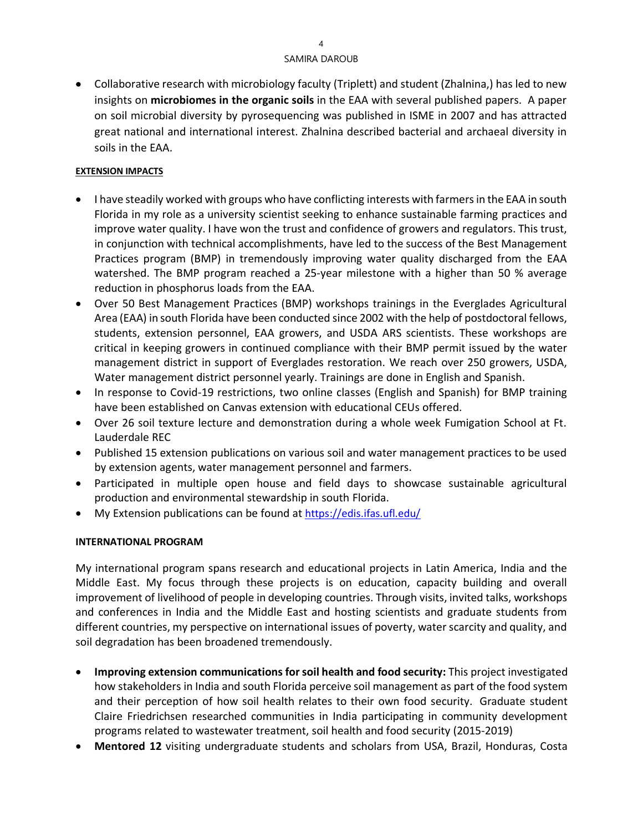• Collaborative research with microbiology faculty (Triplett) and student (Zhalnina,) has led to new insights on **microbiomes in the organic soils** in the EAA with several published papers. A paper on soil microbial diversity by pyrosequencing was published in ISME in 2007 and has attracted great national and international interest. Zhalnina described bacterial and archaeal diversity in soils in the EAA.

## **EXTENSION IMPACTS**

- I have steadily worked with groups who have conflicting interests with farmers in the EAA in south Florida in my role as a university scientist seeking to enhance sustainable farming practices and improve water quality. I have won the trust and confidence of growers and regulators. This trust, in conjunction with technical accomplishments, have led to the success of the Best Management Practices program (BMP) in tremendously improving water quality discharged from the EAA watershed. The BMP program reached a 25-year milestone with a higher than 50 % average reduction in phosphorus loads from the EAA.
- Over 50 Best Management Practices (BMP) workshops trainings in the Everglades Agricultural Area (EAA) in south Florida have been conducted since 2002 with the help of postdoctoral fellows, students, extension personnel, EAA growers, and USDA ARS scientists. These workshops are critical in keeping growers in continued compliance with their BMP permit issued by the water management district in support of Everglades restoration. We reach over 250 growers, USDA, Water management district personnel yearly. Trainings are done in English and Spanish.
- In response to Covid-19 restrictions, two online classes (English and Spanish) for BMP training have been established on Canvas extension with educational CEUs offered.
- Over 26 soil texture lecture and demonstration during a whole week Fumigation School at Ft. Lauderdale REC
- Published 15 extension publications on various soil and water management practices to be used by extension agents, water management personnel and farmers.
- Participated in multiple open house and field days to showcase sustainable agricultural production and environmental stewardship in south Florida.
- My Extension publications can be found at<https://edis.ifas.ufl.edu/>

#### **INTERNATIONAL PROGRAM**

My international program spans research and educational projects in Latin America, India and the Middle East. My focus through these projects is on education, capacity building and overall improvement of livelihood of people in developing countries. Through visits, invited talks, workshops and conferences in India and the Middle East and hosting scientists and graduate students from different countries, my perspective on international issues of poverty, water scarcity and quality, and soil degradation has been broadened tremendously.

- **Improving extension communications for soil health and food security:** This project investigated how stakeholders in India and south Florida perceive soil management as part of the food system and their perception of how soil health relates to their own food security. Graduate student Claire Friedrichsen researched communities in India participating in community development programs related to wastewater treatment, soil health and food security (2015-2019)
- **Mentored 12** visiting undergraduate students and scholars from USA, Brazil, Honduras, Costa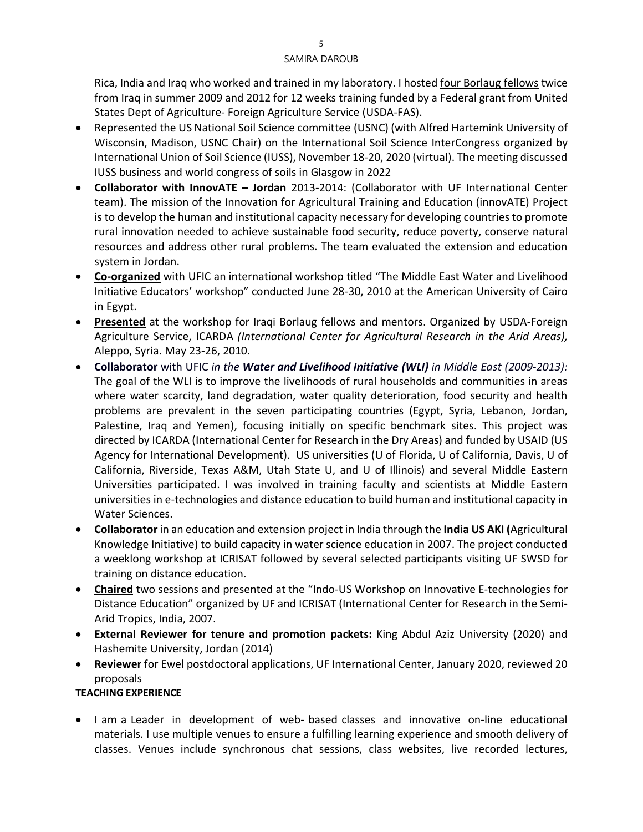Rica, India and Iraq who worked and trained in my laboratory. I hosted four Borlaug fellows twice from Iraq in summer 2009 and 2012 for 12 weeks training funded by a Federal grant from United States Dept of Agriculture- Foreign Agriculture Service (USDA-FAS).

- Represented the US National Soil Science committee (USNC) (with Alfred Hartemink University of Wisconsin, Madison, USNC Chair) on the International Soil Science InterCongress organized by International Union of Soil Science (IUSS), November 18-20, 2020 (virtual). The meeting discussed IUSS business and world congress of soils in Glasgow in 2022
- **Collaborator with InnovATE – Jordan** 2013-2014: (Collaborator with UF International Center team). The mission of the Innovation for Agricultural Training and Education (innovATE) Project is to develop the human and institutional capacity necessary for developing countries to promote rural innovation needed to achieve sustainable food security, reduce poverty, conserve natural resources and address other rural problems. The team evaluated the extension and education system in Jordan.
- **Co-organized** with UFIC an international workshop titled "The Middle East Water and Livelihood Initiative Educators' workshop" conducted June 28-30, 2010 at the American University of Cairo in Egypt.
- **Presented** at the workshop for Iraqi Borlaug fellows and mentors. Organized by USDA-Foreign Agriculture Service, ICARDA *(International Center for Agricultural Research in the Arid Areas),* Aleppo, Syria. May 23-26, 2010.
- **Collaborator** with UFIC *in the Water and Livelihood Initiative (WLI) in Middle East (2009-2013):*  The goal of the WLI is to improve the livelihoods of rural households and communities in areas where water scarcity, land degradation, water quality deterioration, food security and health problems are prevalent in the seven participating countries (Egypt, Syria, Lebanon, Jordan, Palestine, Iraq and Yemen), focusing initially on specific benchmark sites. This project was directed by ICARDA (International Center for Research in the Dry Areas) and funded by USAID (US Agency for International Development). US universities (U of Florida, U of California, Davis, U of California, Riverside, Texas A&M, Utah State U, and U of Illinois) and several Middle Eastern Universities participated. I was involved in training faculty and scientists at Middle Eastern universities in e-technologies and distance education to build human and institutional capacity in Water Sciences.
- **Collaborator** in an education and extension project in India through the **India US AKI (**Agricultural Knowledge Initiative) to build capacity in water science education in 2007. The project conducted a weeklong workshop at ICRISAT followed by several selected participants visiting UF SWSD for training on distance education.
- **Chaired** two sessions and presented at the "Indo-US Workshop on Innovative E-technologies for Distance Education" organized by UF and ICRISAT (International Center for Research in the Semi-Arid Tropics, India, 2007.
- **External Reviewer for tenure and promotion packets:** King Abdul Aziz University (2020) and Hashemite University, Jordan (2014)
- **Reviewer** for Ewel postdoctoral applications, UF International Center, January 2020, reviewed 20 proposals

## **TEACHING EXPERIENCE**

• I am a Leader in development of web- based classes and innovative on-line educational materials. I use multiple venues to ensure a fulfilling learning experience and smooth delivery of classes. Venues include synchronous chat sessions, class websites, live recorded lectures,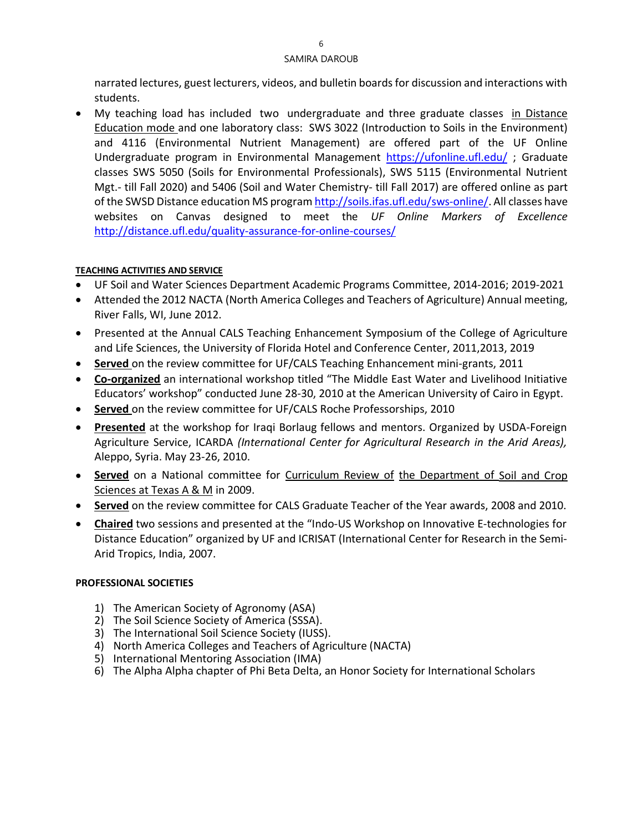narrated lectures, guest lecturers, videos, and bulletin boards for discussion and interactions with students.

• My teaching load has included two undergraduate and three graduate classes in Distance Education mode and one laboratory class: SWS 3022 (Introduction to Soils in the Environment) and 4116 (Environmental Nutrient Management) are offered part of the UF Online Undergraduate program in Environmental Management <https://ufonline.ufl.edu/> ; Graduate classes SWS 5050 (Soils for Environmental Professionals), SWS 5115 (Environmental Nutrient Mgt.- till Fall 2020) and 5406 (Soil and Water Chemistry- till Fall 2017) are offered online as part of the SWSD Distance education MS progra[m http://soils.ifas.ufl.edu/sws-online/.](http://soils.ifas.ufl.edu/sws-online/) All classes have websites on Canvas designed to meet the *UF Online Markers of Excellence* <http://distance.ufl.edu/quality-assurance-for-online-courses/>

## **TEACHING ACTIVITIES AND SERVICE**

- UF Soil and Water Sciences Department Academic Programs Committee, 2014-2016; 2019-2021
- Attended the 2012 NACTA (North America Colleges and Teachers of Agriculture) Annual meeting, River Falls, WI, June 2012.
- Presented at the Annual CALS Teaching Enhancement Symposium of the College of Agriculture and Life Sciences, the University of Florida Hotel and Conference Center, 2011,2013, 2019
- **Served** on the review committee for UF/CALS Teaching Enhancement mini-grants, 2011
- **Co-organized** an international workshop titled "The Middle East Water and Livelihood Initiative Educators' workshop" conducted June 28-30, 2010 at the American University of Cairo in Egypt.
- **Served** on the review committee for UF/CALS Roche Professorships, 2010
- **Presented** at the workshop for Iraqi Borlaug fellows and mentors. Organized by USDA-Foreign Agriculture Service, ICARDA *(International Center for Agricultural Research in the Arid Areas),* Aleppo, Syria. May 23-26, 2010.
- **Served** on a National committee for Curriculum Review of the Department of Soil and Crop Sciences at Texas A & M in 2009.
- **Served** on the review committee for CALS Graduate Teacher of the Year awards, 2008 and 2010.
- **Chaired** two sessions and presented at the "Indo-US Workshop on Innovative E-technologies for Distance Education" organized by UF and ICRISAT (International Center for Research in the Semi-Arid Tropics, India, 2007.

## **PROFESSIONAL SOCIETIES**

- 1) The American Society of Agronomy (ASA)
- 2) The Soil Science Society of America (SSSA).
- 3) The International Soil Science Society (IUSS).
- 4) North America Colleges and Teachers of Agriculture (NACTA)
- 5) International Mentoring Association (IMA)
- 6) The Alpha Alpha chapter of Phi Beta Delta, an Honor Society for International Scholars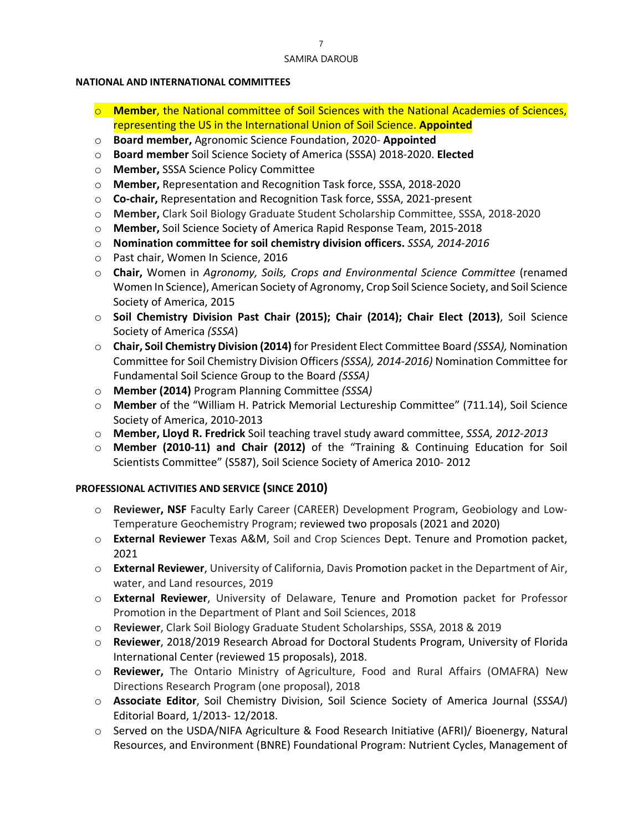#### **NATIONAL AND INTERNATIONAL COMMITTEES**

- o **Member**, the National committee of Soil Sciences with the National Academies of Sciences, representing the US in the International Union of Soil Science. **Appointed**
- o **Board member,** Agronomic Science Foundation, 2020- **Appointed**
- o **Board member** Soil Science Society of America (SSSA) 2018-2020. **Elected**
- o **Member,** SSSA Science Policy Committee
- o **Member,** Representation and Recognition Task force, SSSA, 2018-2020
- o **Co-chair,** Representation and Recognition Task force, SSSA, 2021-present
- o **Member,** Clark Soil Biology Graduate Student Scholarship Committee, SSSA, 2018-2020
- o **Member,** Soil Science Society of America Rapid Response Team, 2015-2018
- o **Nomination committee for soil chemistry division officers.** *SSSA, 2014-2016*
- o Past chair, Women In Science, 2016
- o **Chair,** Women in *Agronomy, Soils, Crops and Environmental Science Committee* (renamed Women In Science), American Society of Agronomy, Crop Soil Science Society, and Soil Science Society of America, 2015
- o **Soil Chemistry Division Past Chair (2015); Chair (2014); Chair Elect (2013)**, Soil Science Society of America *(SSSA*)
- o **Chair, Soil Chemistry Division (2014)** for President Elect Committee Board *(SSSA),* Nomination Committee for Soil Chemistry Division Officers *(SSSA), 2014-2016)* Nomination Committee for Fundamental Soil Science Group to the Board *(SSSA)*
- o **Member (2014)** Program Planning Committee *(SSSA)*
- o **Member** of the "William H. Patrick Memorial Lectureship Committee" (711.14), Soil Science Society of America, 2010-2013
- o **Member, Lloyd R. Fredrick** Soil teaching travel study award committee, *SSSA, 2012-2013*
- o **Member (2010-11) and Chair (2012)** of the "Training & Continuing Education for Soil Scientists Committee" (S587), Soil Science Society of America 2010- 2012

## **PROFESSIONAL ACTIVITIES AND SERVICE (SINCE 2010)**

- o **Reviewer, NSF** Faculty Early Career (CAREER) Development Program, Geobiology and Low-Temperature Geochemistry Program; reviewed two proposals (2021 and 2020)
- o **External Reviewer** Texas A&M, Soil and Crop Sciences Dept. Tenure and Promotion packet, 2021
- o **External Reviewer**, University of California, Davis Promotion packet in the Department of Air, water, and Land resources, 2019
- o **External Reviewer**, University of Delaware, Tenure and Promotion packet for Professor Promotion in the Department of Plant and Soil Sciences, 2018
- o **Reviewer**, Clark Soil Biology Graduate Student Scholarships, SSSA, 2018 & 2019
- o **Reviewer**, 2018/2019 Research Abroad for Doctoral Students Program, University of Florida International Center (reviewed 15 proposals), 2018.
- o **Reviewer,** The Ontario Ministry of Agriculture, Food and Rural Affairs (OMAFRA) New Directions Research Program (one proposal), 2018
- o **Associate Editor**, Soil Chemistry Division, Soil Science Society of America Journal (*SSSAJ*) Editorial Board, 1/2013- 12/2018.
- o Served on the USDA/NIFA Agriculture & Food Research Initiative (AFRI)/ Bioenergy, Natural Resources, and Environment (BNRE) Foundational Program: Nutrient Cycles, Management of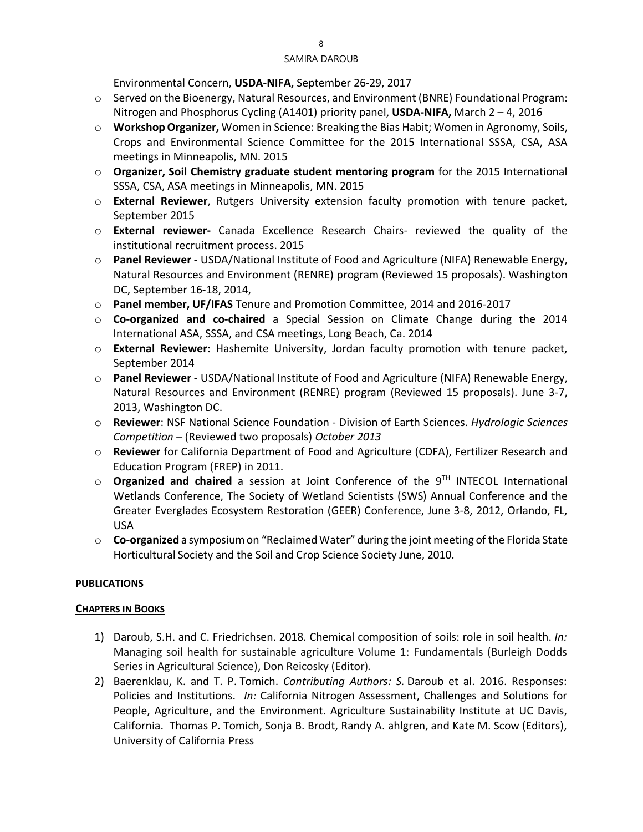Environmental Concern, **USDA-NIFA,** September 26-29, 2017

- o Served on the Bioenergy, Natural Resources, and Environment (BNRE) Foundational Program: Nitrogen and Phosphorus Cycling (A1401) priority panel, **USDA-NIFA,** March 2 – 4, 2016
- o **Workshop Organizer,** Women in Science: Breaking the Bias Habit; Women in Agronomy, Soils, Crops and Environmental Science Committee for the 2015 International SSSA, CSA, ASA meetings in Minneapolis, MN. 2015
- o **Organizer, Soil Chemistry graduate student mentoring program** for the 2015 International SSSA, CSA, ASA meetings in Minneapolis, MN. 2015
- o **External Reviewer**, Rutgers University extension faculty promotion with tenure packet, September 2015
- o **External reviewer-** Canada Excellence Research Chairs- reviewed the quality of the institutional recruitment process. 2015
- o **Panel Reviewer** USDA/National Institute of Food and Agriculture (NIFA) Renewable Energy, Natural Resources and Environment (RENRE) program (Reviewed 15 proposals). Washington DC, September 16-18, 2014,
- o **Panel member, UF/IFAS** Tenure and Promotion Committee, 2014 and 2016-2017
- o **Co-organized and co-chaired** a Special Session on Climate Change during the 2014 International ASA, SSSA, and CSA meetings, Long Beach, Ca. 2014
- o **External Reviewer:** Hashemite University, Jordan faculty promotion with tenure packet, September 2014
- o **Panel Reviewer** USDA/National Institute of Food and Agriculture (NIFA) Renewable Energy, Natural Resources and Environment (RENRE) program (Reviewed 15 proposals). June 3-7, 2013, Washington DC.
- o **Reviewer**: NSF National Science Foundation Division of Earth Sciences. *Hydrologic Sciences Competition –* (Reviewed two proposals) *October 2013*
- o **Reviewer** for California Department of Food and Agriculture (CDFA), Fertilizer Research and Education Program (FREP) in 2011.
- o **Organized and chaired** a session at Joint Conference of the 9TH INTECOL International Wetlands Conference, The Society of Wetland Scientists (SWS) Annual Conference and the Greater Everglades Ecosystem Restoration (GEER) Conference, June 3-8, 2012, Orlando, FL, USA
- o **Co-organized** a symposiumon "ReclaimedWater" during the joint meeting of the Florida State Horticultural Society and the Soil and Crop Science Society June, 2010.

## **PUBLICATIONS**

#### **CHAPTERS IN BOOKS**

- 1) Daroub, S.H. and C. Friedrichsen. 2018*.* Chemical composition of soils: role in soil health. *In:* Managing soil health for sustainable agriculture Volume 1: Fundamentals (Burleigh Dodds Series in Agricultural Science), Don Reicosky (Editor)*.*
- 2) Baerenklau, K. and T. P. Tomich. *Contributing Authors: S.* Daroub et al. 2016. Responses: Policies and Institutions. *In:* California Nitrogen Assessment, Challenges and Solutions for People, Agriculture, and the Environment. Agriculture Sustainability Institute at UC Davis, California. Thomas P. Tomich, Sonja B. Brodt, Randy A. ahlgren, and Kate M. Scow (Editors), University of California Press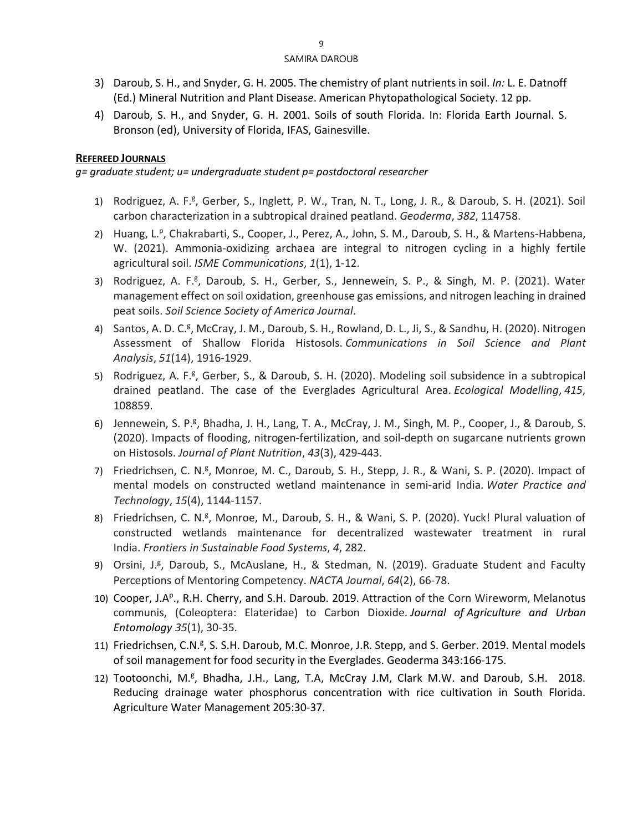- 3) Daroub, S. H., and Snyder, G. H. 2005. The chemistry of plant nutrients in soil. *In:* L. E. Datnoff (Ed.) Mineral Nutrition and Plant Diseas*e*. American Phytopathological Society. 12 pp.
- 4) Daroub, S. H., and Snyder, G. H. 2001. Soils of south Florida. In: Florida Earth Journal. S. Bronson (ed), University of Florida, IFAS, Gainesville.

## **REFEREED JOURNALS**

*g= graduate student; u= undergraduate student p= postdoctoral researcher* 

- 1) Rodriguez, A. F.<sup>g</sup>, Gerber, S., Inglett, P. W., Tran, N. T., Long, J. R., & Daroub, S. H. (2021). Soil carbon characterization in a subtropical drained peatland. *Geoderma*, *382*, 114758.
- 2) Huang, L.<sup>p</sup>, Chakrabarti, S., Cooper, J., Perez, A., John, S. M., Daroub, S. H., & Martens-Habbena, W. (2021). Ammonia-oxidizing archaea are integral to nitrogen cycling in a highly fertile agricultural soil. *ISME Communications*, *1*(1), 1-12.
- 3) Rodriguez, A. F.<sup>g</sup>, Daroub, S. H., Gerber, S., Jennewein, S. P., & Singh, M. P. (2021). Water management effect on soil oxidation, greenhouse gas emissions, and nitrogen leaching in drained peat soils. *Soil Science Society of America Journal*.
- 4) Santos, A. D. C.<sup>g</sup>, McCray, J. M., Daroub, S. H., Rowland, D. L., Ji, S., & Sandhu, H. (2020). Nitrogen Assessment of Shallow Florida Histosols. *Communications in Soil Science and Plant Analysis*, *51*(14), 1916-1929.
- 5) Rodriguez, A. F.<sup>g</sup>, Gerber, S., & Daroub, S. H. (2020). Modeling soil subsidence in a subtropical drained peatland. The case of the Everglades Agricultural Area. *Ecological Modelling*, *415*, 108859.
- 6) Jennewein, S. P.<sup>g</sup>, Bhadha, J. H., Lang, T. A., McCray, J. M., Singh, M. P., Cooper, J., & Daroub, S. (2020). Impacts of flooding, nitrogen-fertilization, and soil-depth on sugarcane nutrients grown on Histosols. *Journal of Plant Nutrition*, *43*(3), 429-443.
- 7) Friedrichsen, C. N.<sup>g</sup>, Monroe, M. C., Daroub, S. H., Stepp, J. R., & Wani, S. P. (2020). Impact of mental models on constructed wetland maintenance in semi-arid India. *Water Practice and Technology*, *15*(4), 1144-1157.
- 8) Friedrichsen, C. N.<sup>g</sup>, Monroe, M., Daroub, S. H., & Wani, S. P. (2020). Yuck! Plural valuation of constructed wetlands maintenance for decentralized wastewater treatment in rural India. *Frontiers in Sustainable Food Systems*, *4*, 282.
- 9) Orsini, J.<sup>g</sup>, Daroub, S., McAuslane, H., & Stedman, N. (2019). Graduate Student and Faculty Perceptions of Mentoring Competency. *NACTA Journal*, *64*(2), 66-78.
- 10) Cooper, J.A<sup>p</sup>., R.H. Cherry, and S.H. Daroub. 2019. Attraction of the Corn Wireworm, Melanotus communis, (Coleoptera: Elateridae) to Carbon Dioxide. *Journal of Agriculture and Urban Entomology 35*(1), 30-35.
- 11) Friedrichsen, C.N.<sup>g</sup>, S. S.H. Daroub, M.C. Monroe, J.R. Stepp, and S. Gerber. 2019. Mental models of soil management for food security in the Everglades. Geoderma 343:166-175.
- 12) Tootoonchi, M.<sup>g</sup>, Bhadha, J.H., Lang, T.A, McCray J.M, Clark M.W. and Daroub, S.H. 2018. Reducing drainage water phosphorus concentration with rice cultivation in South Florida. Agriculture Water Management 205:30-37.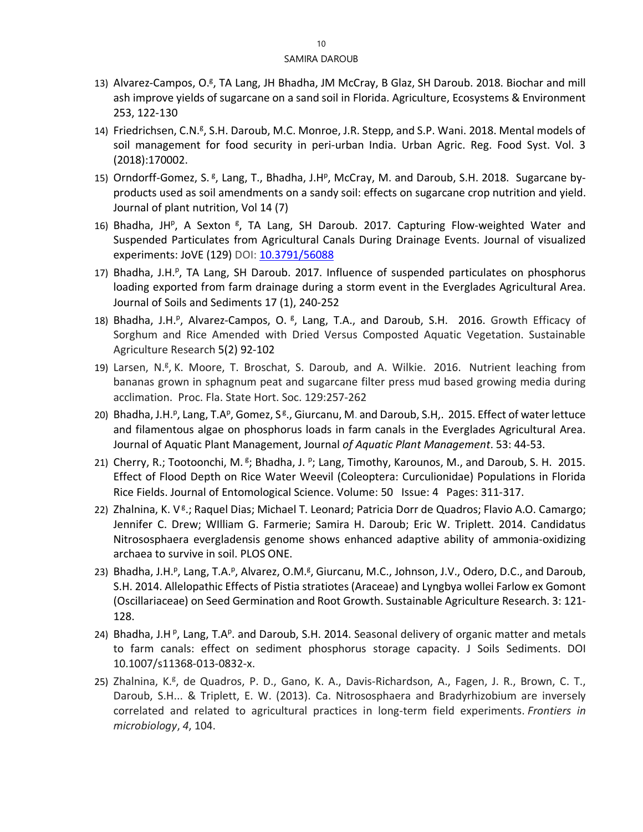- 13) Alvarez-Campos, O.<sup>g</sup>, TA Lang, JH Bhadha, JM McCray, B Glaz, SH Daroub. 2018. Biochar and mill ash improve yields of sugarcane on a sand soil in Florida. Agriculture, Ecosystems & Environment 253, 122-130
- 14) Friedrichsen, C.N.<sup>g</sup>, S.H. Daroub, M.C. Monroe, J.R. Stepp, and S.P. Wani. 2018. Mental models of soil management for food security in peri-urban India. Urban Agric. Reg. Food Syst. Vol. 3 (2018):170002.
- 15) Orndorff-Gomez, S. <sup>g</sup>, Lang, T., Bhadha, J.H<sup>p</sup>, McCray, M. and Daroub, S.H. 2018. Sugarcane byproducts used as soil amendments on a sandy soil: effects on sugarcane crop nutrition and yield. Journal of plant nutrition, Vol 14 (7)
- 16) Bhadha, JH<sup>p</sup>, A Sexton <sup>g</sup>, TA Lang, SH Daroub. 2017. Capturing Flow-weighted Water and Suspended Particulates from Agricultural Canals During Drainage Events. Journal of visualized experiments: JoVE (129) DOI: [10.3791/56088](https://doi.org/10.3791/56088)
- 17) Bhadha, J.H.<sup>p</sup>, TA Lang, SH Daroub. 2017. Influence of suspended particulates on phosphorus loading exported from farm drainage during a storm event in the Everglades Agricultural Area. Journal of Soils and Sediments 17 (1), 240-252
- 18) Bhadha, J.H.<sup>p</sup>, Alvarez-Campos, O. <sup>g</sup>, Lang, T.A., and Daroub, S.H. 2016. Growth Efficacy of Sorghum and Rice Amended with Dried Versus Composted Aquatic Vegetation. Sustainable Agriculture Research 5(2) 92-102
- 19) Larsen, N.<sup>g</sup>, K. Moore, T. Broschat, S. Daroub, and A. Wilkie. 2016. Nutrient leaching from bananas grown in sphagnum peat and sugarcane filter press mud based growing media during acclimation. Proc. Fla. State Hort. Soc. 129:257-262
- 20) Bhadha, J.H.<sup>p</sup>, Lang, T.A<sup>p</sup>, Gomez, S<sup>g</sup>., Giurcanu, M. and Daroub, S.H,. 2015. Effect of water lettuce and filamentous algae on phosphorus loads in farm canals in the Everglades Agricultural Area. Journal of Aquatic Plant Management, Journal *of Aquatic Plant Management*. 53: 44-53.
- 21) Cherry, R.; Tootoonchi, M. <sup>g</sup>; Bhadha, J. <sup>p</sup>; Lang, Timothy, Karounos, M., and Daroub, S. H. 2015. Effect of Flood Depth on Rice Water Weevil (Coleoptera: Curculionidae) Populations in Florida Rice Fields. Journal of Entomological Science. Volume: 50 Issue: 4 Pages: 311-317.
- 22) Zhalnina, K. V<sup>g</sup>.; Raquel Dias; Michael T. Leonard; Patricia Dorr de Quadros; Flavio A.O. Camargo; Jennifer C. Drew; WIlliam G. Farmerie; Samira H. Daroub; Eric W. Triplett. 2014. Candidatus Nitrososphaera evergladensis genome shows enhanced adaptive ability of ammonia-oxidizing archaea to survive in soil. PLOS ONE.
- 23) Bhadha, J.H.<sup>p</sup>, Lang, T.A.<sup>p</sup>, Alvarez, O.M.<sup>g</sup>, Giurcanu, M.C., Johnson, J.V., Odero, D.C., and Daroub, S.H. 2014. Allelopathic Effects of Pistia stratiotes (Araceae) and Lyngbya wollei Farlow ex Gomont (Oscillariaceae) on Seed Germination and Root Growth. Sustainable Agriculture Research. 3: 121- 128.
- 24) Bhadha, J.HP, Lang, T.AP. and Daroub, S.H. 2014. Seasonal delivery of organic matter and metals to farm canals: effect on sediment phosphorus storage capacity. J Soils Sediments. DOI 10.1007/s11368-013-0832-x.
- 25) Zhalnina, K.<sup>g</sup>, de Quadros, P. D., Gano, K. A., Davis-Richardson, A., Fagen, J. R., Brown, C. T., Daroub, S.H... & Triplett, E. W. (2013). Ca. Nitrososphaera and Bradyrhizobium are inversely correlated and related to agricultural practices in long-term field experiments. *Frontiers in microbiology*, *4*, 104.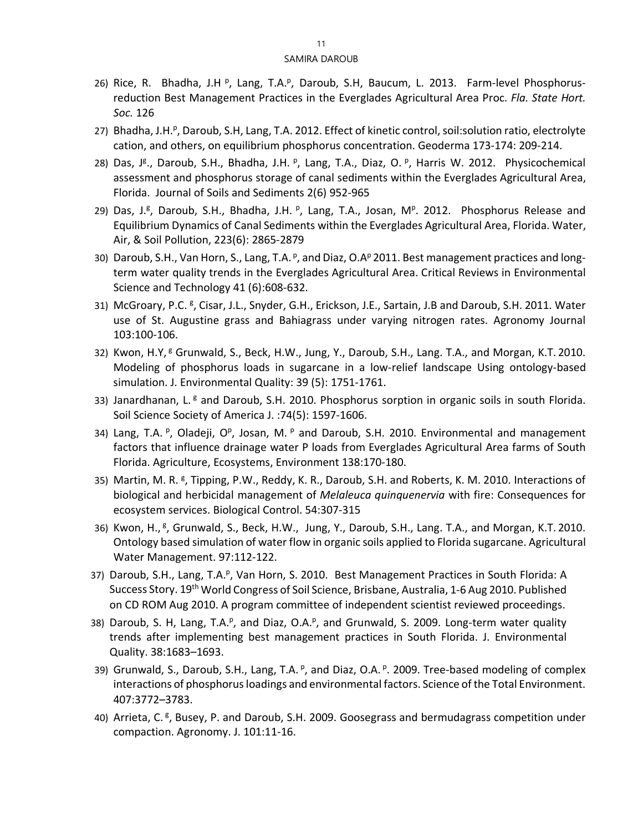- 26) Rice, R. Bhadha, J.H <sup>p</sup>, Lang, T.A.<sup>p</sup>, Daroub, S.H, Baucum, L. 2013. Farm-level Phosphorusreduction Best Management Practices in the Everglades Agricultural Area Proc. *Fla. State Hort. Soc.* 126
- 27) Bhadha, J.H.<sup>p</sup>, Daroub, S.H, Lang, T.A. 2012. Effect of kinetic control, soil:solution ratio, electrolyte cation, and others, on equilibrium phosphorus concentration. Geoderma 173-174: 209-214.
- 28) Das, J<sup>g</sup>., Daroub, S.H., Bhadha, J.H. <sup>p</sup>, Lang, T.A., Diaz, O. <sup>p</sup>, Harris W. 2012. Physicochemical assessment and phosphorus storage of canal sediments within the Everglades Agricultural Area, Florida. [Journal of Soils and Sediments](http://link.springer.com/journal/11368) 2(6) 952-965
- 29) Das, J.<sup>g</sup>, Daroub, S.H., Bhadha, J.H. <sup>p</sup>, Lang, T.A., Josan, M<sup>p</sup>. 2012. Phosphorus Release and Equilibrium Dynamics of Canal Sediments within the Everglades Agricultural Area, Florida. Water, Air, & Soil Pollution, 223(6): 2865-2879
- 30) Daroub, S.H., Van Horn, S., Lang, T.A. <sup>p</sup>, and Diaz, O.A<sup>p</sup> 2011. Best management practices and longterm water quality trends in the Everglades Agricultural Area. Critical Reviews in Environmental Science and Technology 41 (6):608-632.
- 31) McGroary, P.C. <sup>g</sup>, Cisar, J.L., Snyder, G.H., Erickson, J.E., Sartain, J.B and Daroub, S.H. 2011. Water use of St. Augustine grass and Bahiagrass under varying nitrogen rates. Agronomy Journal 103:100-106.
- 32) Kwon, H.Y, <sup>g</sup> Grunwald, S., Beck, H.W., Jung, Y., Daroub, S.H., Lang. T.A., and Morgan, K.T. 2010. Modeling of phosphorus loads in sugarcane in a low-relief landscape Using ontology-based simulation. J. Environmental Quality: 39 (5): 1751-1761.
- 33) Janardhanan, L. $<sup>g</sup>$  and Daroub, S.H. 2010. Phosphorus sorption in organic soils in south Florida.</sup> Soil Science Society of America J. :74(5): 1597-1606.
- 34) Lang, T.A. <sup>p</sup>, Oladeji, O<sup>p</sup>, Josan, M. <sup>p</sup> and Daroub, S.H. 2010. Environmental and management factors that influence drainage water P loads from Everglades Agricultural Area farms of South Florida. Agriculture, Ecosystems, Environment 138:170-180.
- 35) Martin, M. R. <sup>g</sup>, Tipping, P.W., Reddy, K. R., Daroub, S.H. and Roberts, K. M. 2010. Interactions of biological and herbicidal management of *Melaleuca quinquenervia* with fire: Consequences for ecosystem services. Biological Control. 54:307-315
- 36) Kwon, H., <sup>g</sup>, Grunwald, S., Beck, H.W., Jung, Y., Daroub, S.H., Lang. T.A., and Morgan, K.T. 2010. Ontology based simulation of water flow in organic soils applied to Florida sugarcane. Agricultural Water Management. 97:112-122.
- 37) Daroub, S.H., Lang, T.A.<sup>p</sup>, Van Horn, S. 2010. Best Management Practices in South Florida: A Success Story. 19th World Congress of Soil Science, Brisbane, Australia, 1-6 Aug 2010. Published on CD ROM Aug 2010. A program committee of independent scientist reviewed proceedings.
- 38) Daroub, S. H, Lang, T.A.P, and Diaz, O.A.P, and Grunwald, S. 2009. Long-term water quality trends after implementing best management practices in South Florida. J. Environmental Quality. 38:1683–1693.
- 39) Grunwald, S., Daroub, S.H., Lang, T.A. <sup>p</sup>, and Diaz, O.A. <sup>p</sup>. 2009. Tree-based modeling of complex interactions of phosphorus loadings and environmental factors. Science of the Total Environment. 407:3772–3783.
- 40) Arrieta, C.<sup>g</sup>, Busey, P. and Daroub, S.H. 2009. Goosegrass and bermudagrass competition under compaction. Agronomy. J. 101:11-16.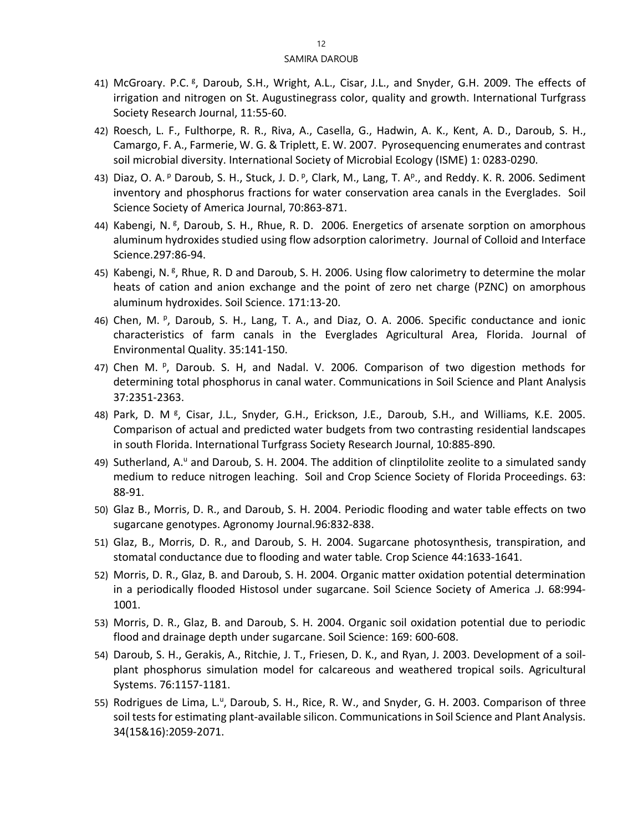- 41) McGroary. P.C. <sup>g</sup>, Daroub, S.H., Wright, A.L., Cisar, J.L., and Snyder, G.H. 2009. The effects of irrigation and nitrogen on St. Augustinegrass color, quality and growth. International Turfgrass Society Research Journal, 11:55-60.
- 42) Roesch, L. F., Fulthorpe, R. R., Riva, A., Casella, G., Hadwin, A. K., Kent, A. D., Daroub, S. H., Camargo, F. A., Farmerie, W. G. & Triplett, E. W. 2007. Pyrosequencing enumerates and contrast soil microbial diversity. International Society of Microbial Ecology (ISME) 1: 0283-0290.
- 43) Diaz, O. A. <sup>p</sup> Daroub, S. H., Stuck, J. D. <sup>p</sup>, Clark, M., Lang, T. A<sup>p</sup>., and Reddy. K. R. 2006. Sediment inventory and phosphorus fractions for water conservation area canals in the Everglades. Soil Science Society of America Journal, 70:863-871.
- 44) Kabengi, N. <sup>g</sup>, Daroub, S. H., Rhue, R. D. 2006. Energetics of arsenate sorption on amorphous aluminum hydroxides studied using flow adsorption calorimetry. Journal of Colloid and Interface Science.297:86-94.
- 45) Kabengi, N. <sup>g</sup>, Rhue, R. D and Daroub, S. H. 2006. Using flow calorimetry to determine the molar heats of cation and anion exchange and the point of zero net charge (PZNC) on amorphous aluminum hydroxides. Soil Science. 171:13-20.
- 46) Chen, M. <sup>p</sup>, Daroub, S. H., Lang, T. A., and Diaz, O. A. 2006. Specific conductance and ionic characteristics of farm canals in the Everglades Agricultural Area, Florida. Journal of Environmental Quality. 35:141-150.
- 47) Chen M. P, Daroub. S. H, and Nadal. V. 2006. Comparison of two digestion methods for determining total phosphorus in canal water. Communications in Soil Science and Plant Analysis 37:2351-2363.
- 48) Park, D. M<sup>g</sup>, Cisar, J.L., Snyder, G.H., Erickson, J.E., Daroub, S.H., and Williams, K.E. 2005. Comparison of actual and predicted water budgets from two contrasting residential landscapes in south Florida. International Turfgrass Society Research Journal, 10:885-890.
- 49) Sutherland, A.<sup>u</sup> and Daroub, S. H. 2004. The addition of clinptilolite zeolite to a simulated sandy medium to reduce nitrogen leaching. Soil and Crop Science Society of Florida Proceedings. 63: 88-91.
- 50) Glaz B., Morris, D. R., and Daroub, S. H. 2004. Periodic flooding and water table effects on two sugarcane genotypes. Agronomy Journal.96:832-838.
- 51) Glaz, B., Morris, D. R., and Daroub, S. H. 2004. Sugarcane photosynthesis, transpiration, and stomatal conductance due to flooding and water table*.* Crop Science 44:1633-1641.
- 52) Morris, D. R., Glaz, B. and Daroub, S. H. 2004. Organic matter oxidation potential determination in a periodically flooded Histosol under sugarcane. Soil Science Society of America .J. 68:994- 1001.
- 53) Morris, D. R., Glaz, B. and Daroub, S. H. 2004. Organic soil oxidation potential due to periodic flood and drainage depth under sugarcane. Soil Science: 169: 600-608.
- 54) Daroub, S. H., Gerakis, A., Ritchie, J. T., Friesen, D. K., and Ryan, J. 2003. Development of a soilplant phosphorus simulation model for calcareous and weathered tropical soils. Agricultural Systems. 76:1157-1181.
- 55) Rodrigues de Lima, L.<sup>u</sup>, Daroub, S. H., Rice, R. W., and Snyder, G. H. 2003. Comparison of three soil tests for estimating plant-available silicon. Communications in Soil Science and Plant Analysis. 34(15&16):2059-2071.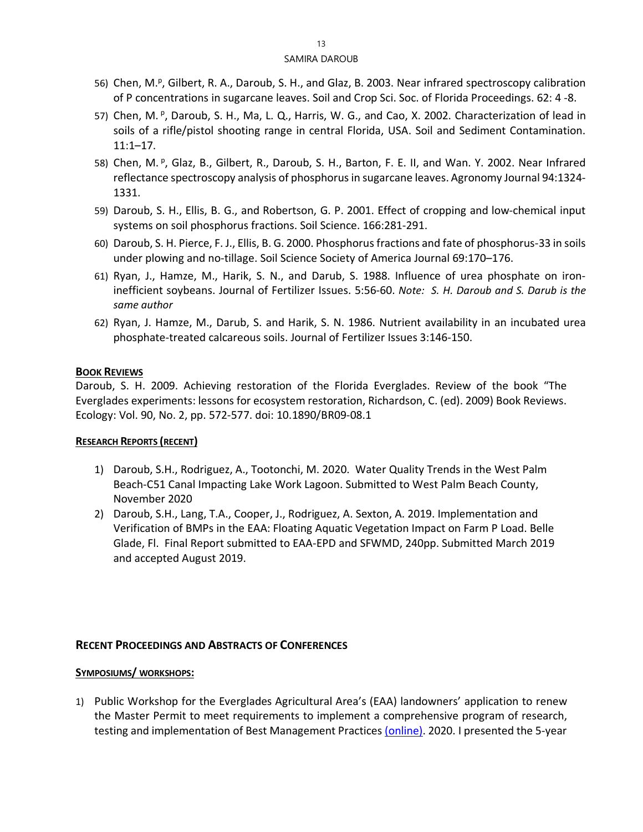- 56) Chen, M.<sup>p</sup>, Gilbert, R. A., Daroub, S. H., and Glaz, B. 2003. Near infrared spectroscopy calibration of P concentrations in sugarcane leaves. Soil and Crop Sci. Soc. of Florida Proceedings. 62: 4 -8.
- 57) Chen, M. <sup>p</sup>, Daroub, S. H., Ma, L. Q., Harris, W. G., and Cao, X. 2002. Characterization of lead in soils of a rifle/pistol shooting range in central Florida, USA. Soil and Sediment Contamination. 11:1–17.
- 58) Chen, M. <sup>p</sup>, Glaz, B., Gilbert, R., Daroub, S. H., Barton, F. E. II, and Wan. Y. 2002. Near Infrared reflectance spectroscopy analysis of phosphorus in sugarcane leaves. Agronomy Journal 94:1324- 1331.
- 59) Daroub, S. H., Ellis, B. G., and Robertson, G. P. 2001. Effect of cropping and low-chemical input systems on soil phosphorus fractions. Soil Science. 166:281-291.
- 60) Daroub, S. H. Pierce, F. J., Ellis, B. G. 2000. Phosphorus fractions and fate of phosphorus-33 in soils under plowing and no-tillage. Soil Science Society of America Journal 69:170–176.
- 61) Ryan, J., Hamze, M., Harik, S. N., and Darub, S. 1988. Influence of urea phosphate on ironinefficient soybeans. Journal of Fertilizer Issues. 5:56-60. *Note: S. H. Daroub and S. Darub is the same author*
- 62) Ryan, J. Hamze, M., Darub, S. and Harik, S. N. 1986. Nutrient availability in an incubated urea phosphate-treated calcareous soils. Journal of Fertilizer Issues 3:146-150.

#### **BOOK REVIEWS**

Daroub, S. H. 2009. Achieving restoration of the Florida Everglades. Review of the book "The Everglades experiments: lessons for ecosystem restoration, Richardson, C. (ed). 2009) Book Reviews. Ecology: Vol. 90, No. 2, pp. 572-577. doi: 10.1890/BR09-08.1

#### **RESEARCH REPORTS (RECENT)**

- 1) Daroub, S.H., Rodriguez, A., Tootonchi, M. 2020. Water Quality Trends in the West Palm Beach-C51 Canal Impacting Lake Work Lagoon. Submitted to West Palm Beach County, November 2020
- 2) Daroub, S.H., Lang, T.A., Cooper, J., Rodriguez, A. Sexton, A. 2019. Implementation and Verification of BMPs in the EAA: Floating Aquatic Vegetation Impact on Farm P Load. Belle Glade, Fl. Final Report submitted to EAA-EPD and SFWMD, 240pp. Submitted March 2019 and accepted August 2019.

#### **RECENT PROCEEDINGS AND ABSTRACTS OF CONFERENCES**

#### **SYMPOSIUMS/ WORKSHOPS:**

1) Public Workshop for the Everglades Agricultural Area's (EAA) landowners' application to renew the Master Permit to meet requirements to implement a comprehensive program of research, testing and implementation of Best Management Practices [\(online\).](https://www.sfwmd.gov/event/public-workshop-everglades-agricultural-area-environmental-protection-district-research) 2020. I presented the 5-year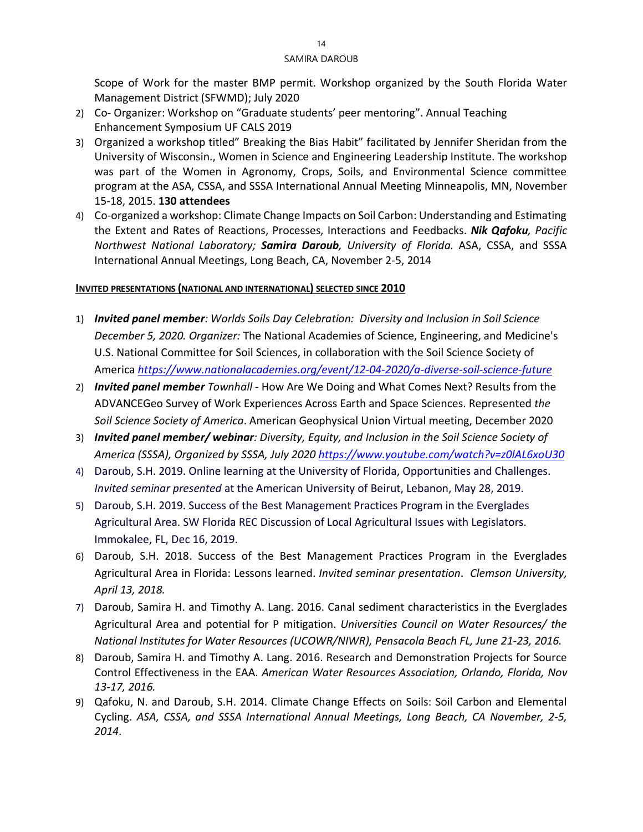Scope of Work for the master BMP permit. Workshop organized by the South Florida Water Management District (SFWMD); July 2020

- 2) Co- Organizer: Workshop on "Graduate students' peer mentoring". Annual Teaching Enhancement Symposium UF CALS 2019
- 3) Organized a workshop titled" Breaking the Bias Habit" facilitated by Jennifer Sheridan from the University of Wisconsin., Women in Science and Engineering Leadership Institute. The workshop was part of the Women in Agronomy, Crops, Soils, and Environmental Science committee program at the ASA, CSSA, and SSSA International Annual Meeting Minneapolis, MN, November 15-18, 2015. **130 attendees**
- 4) Co-organized a workshop: Climate Change Impacts on Soil Carbon: Understanding and Estimating the Extent and Rates of Reactions, Processes, Interactions and Feedbacks. *Nik Qafoku, Pacific Northwest National Laboratory; Samira Daroub, University of Florida.* ASA, CSSA, and SSSA International Annual Meetings, Long Beach, CA, November 2-5, 2014

## **INVITED PRESENTATIONS (NATIONAL AND INTERNATIONAL) SELECTED SINCE 2010**

- 1) *Invited panel member: Worlds Soils Day Celebration: Diversity and Inclusion in Soil Science December 5, 2020. Organizer:* The National Academies of Science, Engineering, and Medicine's U.S. National Committee for Soil Sciences, in collaboration with the Soil Science Society of America *<https://www.nationalacademies.org/event/12-04-2020/a-diverse-soil-science-future>*
- 2) *Invited panel member Townhall*  How Are We Doing and What Comes Next? Results from the ADVANCEGeo Survey of Work Experiences Across Earth and Space Sciences. Represented *the Soil Science Society of America*. American Geophysical Union Virtual meeting, December 2020
- 3) *Invited panel member/ webinar: Diversity, Equity, and Inclusion in the Soil Science Society of America (SSSA), Organized by SSSA, July 2020 <https://www.youtube.com/watch?v=z0lAL6xoU30>*
- 4) Daroub, S.H. 2019. Online learning at the University of Florida, Opportunities and Challenges. *Invited seminar presented* at the American University of Beirut, Lebanon, May 28, 2019.
- 5) Daroub, S.H. 2019. Success of the Best Management Practices Program in the Everglades Agricultural Area. SW Florida REC Discussion of Local Agricultural Issues with Legislators. Immokalee, FL, Dec 16, 2019.
- 6) Daroub, S.H. 2018. Success of the Best Management Practices Program in the Everglades Agricultural Area in Florida: Lessons learned. *Invited seminar presentation*. *Clemson University, April 13, 2018.*
- 7) Daroub, Samira H. and Timothy A. Lang. 2016. Canal sediment characteristics in the Everglades Agricultural Area and potential for P mitigation. *Universities Council on Water Resources/ the National Institutes for Water Resources (UCOWR/NIWR), Pensacola Beach FL, June 21-23, 2016.*
- 8) Daroub, Samira H. and Timothy A. Lang. 2016. Research and Demonstration Projects for Source Control Effectiveness in the EAA. *American Water Resources Association, Orlando, Florida, Nov 13-17, 2016.*
- 9) Qafoku, N. and Daroub, S.H. 2014. [Climate Change Effects on Soils: Soil Carbon and Elemental](https://scisoc.confex.com/scisoc/2014am/webprogram/Paper85687.html)  [Cycling.](https://scisoc.confex.com/scisoc/2014am/webprogram/Paper85687.html) *ASA, CSSA, and SSSA International Annual Meetings, Long Beach, CA November, 2-5, 2014*.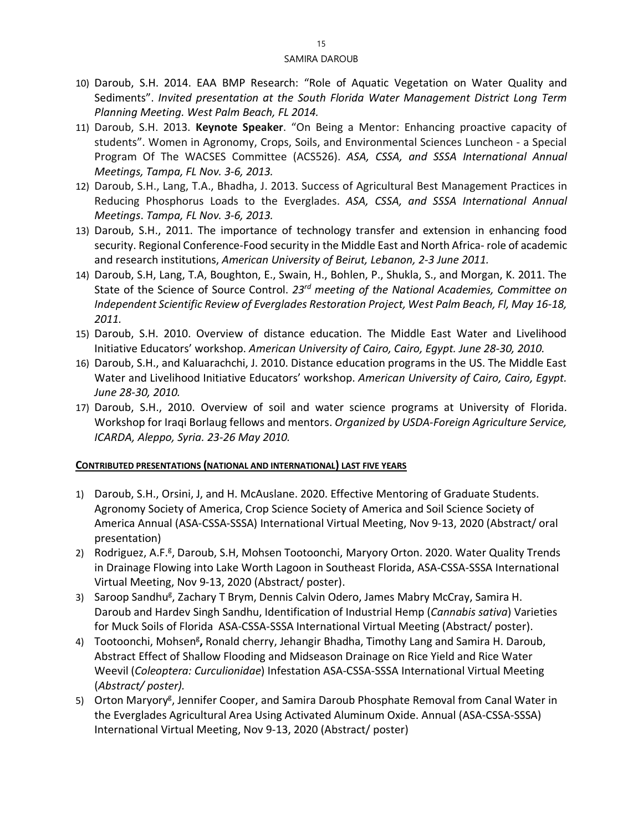- 10) Daroub, S.H. 2014. EAA BMP Research: "Role of Aquatic Vegetation on Water Quality and Sediments". *Invited presentation at the South Florida Water Management District Long Term Planning Meeting. West Palm Beach, FL 2014.*
- 11) Daroub, S.H. 2013. **Keynote Speaker**. "On Being a Mentor: Enhancing proactive capacity of students". Women in Agronomy, Crops, Soils, and Environmental Sciences Luncheon - a Special Program Of The WACSES Committee (ACS526). *ASA, CSSA, and SSSA International Annual Meetings, Tampa, FL Nov. 3-6, 2013.*
- 12) Daroub, S.H., Lang, T.A., Bhadha, J. 2013. Success of Agricultural Best Management Practices in Reducing Phosphorus Loads to the Everglades. *ASA, CSSA, and SSSA International Annual Meetings*. *Tampa, FL Nov. 3-6, 2013.*
- 13) Daroub, S.H., 2011. The importance of technology transfer and extension in enhancing food security. Regional Conference-Food security in the Middle East and North Africa- role of academic and research institutions, *American University of Beirut, Lebanon, 2-3 June 2011.*
- 14) Daroub, S.H, Lang, T.A, Boughton, E., Swain, H., Bohlen, P., Shukla, S., and Morgan, K. 2011. The State of the Science of Source Control. *23rd meeting of the National Academies, Committee on Independent Scientific Review of Everglades Restoration Project, West Palm Beach, Fl, May 16-18, 2011.*
- 15) Daroub, S.H. 2010. Overview of distance education. The Middle East Water and Livelihood Initiative Educators' workshop. *American University of Cairo, Cairo, Egypt. June 28-30, 2010.*
- 16) Daroub, S.H., and Kaluarachchi, J. 2010. Distance education programs in the US. The Middle East Water and Livelihood Initiative Educators' workshop. *American University of Cairo, Cairo, Egypt. June 28-30, 2010.*
- 17) Daroub, S.H., 2010. Overview of soil and water science programs at University of Florida. Workshop for Iraqi Borlaug fellows and mentors. *Organized by USDA-Foreign Agriculture Service, ICARDA, Aleppo, Syria. 23-26 May 2010.*

#### **CONTRIBUTED PRESENTATIONS (NATIONAL AND INTERNATIONAL) LAST FIVE YEARS**

- 1) Daroub, S.H., Orsini, J, and H. McAuslane. 2020. Effective Mentoring of Graduate Students. Agronomy Society of America, Crop Science Society of America and Soil Science Society of America Annual (ASA-CSSA-SSSA) International Virtual Meeting, Nov 9-13, 2020 (Abstract/ oral presentation)
- 2) Rodriguez, A.F.<sup>g</sup>, Daroub, S.H, Mohsen Tootoonchi, Maryory Orton. 2020. Water Quality Trends in Drainage Flowing into Lake Worth Lagoon in Southeast Florida, ASA-CSSA-SSSA International Virtual Meeting, Nov 9-13, 2020 (Abstract/ poster).
- 3) Saroop Sandhu<sup>g</sup>, Zachary T Brym, Dennis Calvin Odero, James Mabry McCray, Samira H. Daroub and Hardev Singh Sandhu, [Identification](https://scisoc.confex.com/scisoc/2020am/prelim.cgi/Paper/125336) of Industrial Hemp (*Cannabis sativa*) Varieties for Muck Soils of [Florida](https://scisoc.confex.com/scisoc/2020am/prelim.cgi/Paper/125336) ASA-CSSA-SSSA International Virtual Meeting (Abstract/ poster).
- 4) Tootoonchi, Mohsen<sup>g</sup>, Ronald cherry, Jehangir Bhadha, Timothy Lang and Samira H. Daroub, Abstract Effect of Shallow Flooding and Midseason Drainage on Rice Yield and Rice Water Weevil (*Coleoptera: Curculionidae*) Infestation ASA-CSSA-SSSA International Virtual Meeting (*Abstract/ poster).*
- 5) Orton Maryory<sup>g</sup>, Jennifer Cooper, and Samira Daroub Phosphate Removal from Canal Water in the Everglades Agricultural Area Using Activated Aluminum Oxide. Annual (ASA-CSSA-SSSA) International Virtual Meeting, Nov 9-13, 2020 (Abstract/ poster)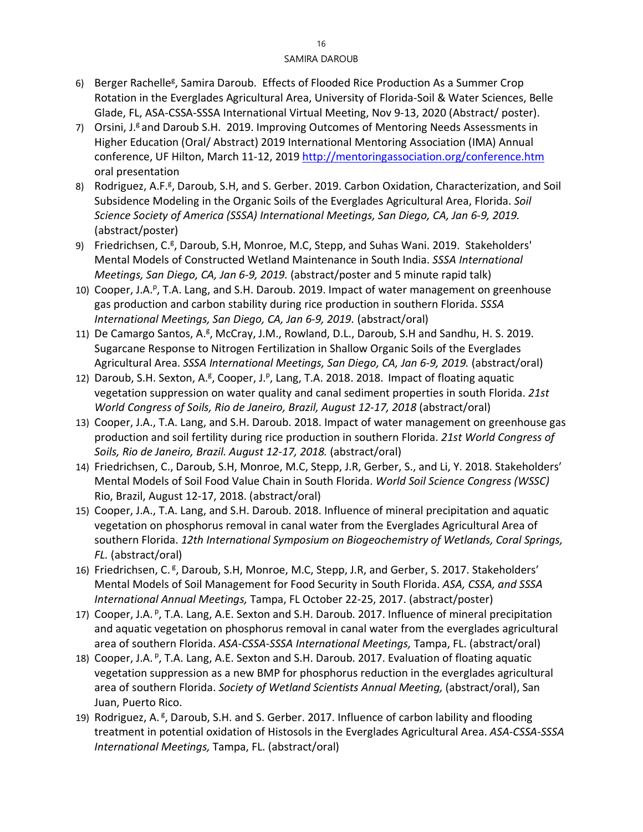- 6) Berger Rachelle<sup>g</sup>, Samira Daroub. Effects of Flooded Rice Production As a Summer Crop Rotation in the Everglades Agricultural Area, University of Florida-Soil & Water Sciences, Belle Glade, FL, ASA-CSSA-SSSA International Virtual Meeting, Nov 9-13, 2020 (Abstract/ poster).
- 7) Orsini, J.<sup>g</sup> and Daroub S.H. 2019. Improving Outcomes of Mentoring Needs Assessments in Higher Education (Oral/ Abstract) 2019 International Mentoring Association (IMA) Annual conference, UF Hilton, March 11-12, 2019<http://mentoringassociation.org/conference.htm> oral presentation
- 8) Rodriguez, A.F.<sup>g</sup>, Daroub, S.H, and S. Gerber. 2019. Carbon Oxidation, [Characterization,](https://scisoc.confex.com/scisoc/2019sssa/meetingapp.cgi/Paper/116306) and Soil Subsidence Modeling in the Organic Soils of the Everglades [Agricultural](https://scisoc.confex.com/scisoc/2019sssa/meetingapp.cgi/Paper/116306) Area, Florida. *Soil Science Society of America (SSSA) International Meetings, San Diego, CA, Jan 6-9, 2019.* (abstract/poster)
- 9) Friedrichsen, C.<sup>g</sup>, Daroub, S.H, Monroe, M.C, Stepp, and Suhas Wani. 2019. [Stakeholders'](https://scisoc.confex.com/scisoc/2019sssa/meetingapp.cgi/Paper/116256) Mental Models of Constructed Wetland [Maintenance](https://scisoc.confex.com/scisoc/2019sssa/meetingapp.cgi/Paper/116256) in South India. *SSSA International Meetings, San Diego, CA, Jan 6-9, 2019.* (abstract/poster and 5 minute rapid talk)
- 10) Cooper, J.A.<sup>p</sup>, T.A. Lang, and S.H. Daroub. 2019. Impact of water management on greenhouse gas production and carbon stability during rice production in southern Florida. *SSSA International Meetings, San Diego, CA, Jan 6-9, 2019.* (abstract/oral)
- 11) De Camargo Santos, A.<sup>g</sup>, McCray, J.M., Rowland, D.L., Daroub, S.H and Sandhu, H. S. 2019. Sugarcane Response to Nitrogen [Fertilization](https://scisoc.confex.com/scisoc/2019sssa/meetingapp.cgi/Paper/115720) in Shallow Organic Soils of the Everglades [Agricultural](https://scisoc.confex.com/scisoc/2019sssa/meetingapp.cgi/Paper/115720) Area. *SSSA International Meetings, San Diego, CA, Jan 6-9, 2019.* (abstract/oral)
- 12) Daroub, S.H. Sexton, A.<sup>g</sup>, Cooper, J.<sup>p</sup>, Lang, T.A. 2018. 2018. Impact of floating aquatic vegetation suppression on water quality and canal sediment properties in south Florida. *21st World Congress of Soils, Rio de Janeiro, Brazil, August 12-17, 2018* (abstract/oral)
- 13) Cooper, J.A., T.A. Lang, and S.H. Daroub. 2018. Impact of water management on greenhouse gas production and soil fertility during rice production in southern Florida. *21st World Congress of*  Soils, Rio de Janeiro, Brazil. August 12-17, 2018. (abstract/oral)
- 14) Friedrichsen, C., Daroub, S.H, Monroe, M.C, Stepp, J.R, Gerber, S., and Li, Y. 2018. Stakeholders′ Mental Models of Soil Food Value Chain in South Florida. *World Soil Science Congress (WSSC)*  Rio, Brazil, August 12-17, 2018. (abstract/oral)
- 15) Cooper, J.A., T.A. Lang, and S.H. Daroub. 2018. Influence of mineral precipitation and aquatic vegetation on phosphorus removal in canal water from the Everglades Agricultural Area of southern Florida. *12th International Symposium on Biogeochemistry of Wetlands, Coral Springs, FL.* (abstract/oral)
- 16) Friedrichsen, C.<sup>g</sup>, Daroub, S.H, Monroe, M.C, Stepp, J.R, and Gerber, S. 2017. Stakeholders' Mental Models of Soil Management for Food Security in South Florida. *ASA, CSSA, and SSSA International Annual Meetings,* Tampa, FL October 22-25, 2017. (abstract/poster)
- 17) Cooper, J.A. <sup>p</sup>, T.A. Lang, A.E. Sexton and S.H. Daroub. 2017. Influence of mineral precipitation and aquatic vegetation on phosphorus removal in canal water from the everglades agricultural area of southern Florida. *ASA-CSSA-SSSA International Meetings,* Tampa, FL. (abstract/oral)
- 18) Cooper, J.A. <sup>p</sup>, T.A. Lang, A.E. Sexton and S.H. Daroub. 2017. Evaluation of floating aquatic vegetation suppression as a new BMP for phosphorus reduction in the everglades agricultural area of southern Florida. *Society of Wetland Scientists Annual Meeting,* (abstract/oral), San Juan, Puerto Rico.
- 19) Rodriguez, A. <sup>g</sup>, Daroub, S.H. and S. Gerber. 2017. Influence of carbon lability and flooding treatment in potential oxidation of Histosols in the Everglades Agricultural Area. *ASA-CSSA-SSSA International Meetings,* Tampa, FL. (abstract/oral)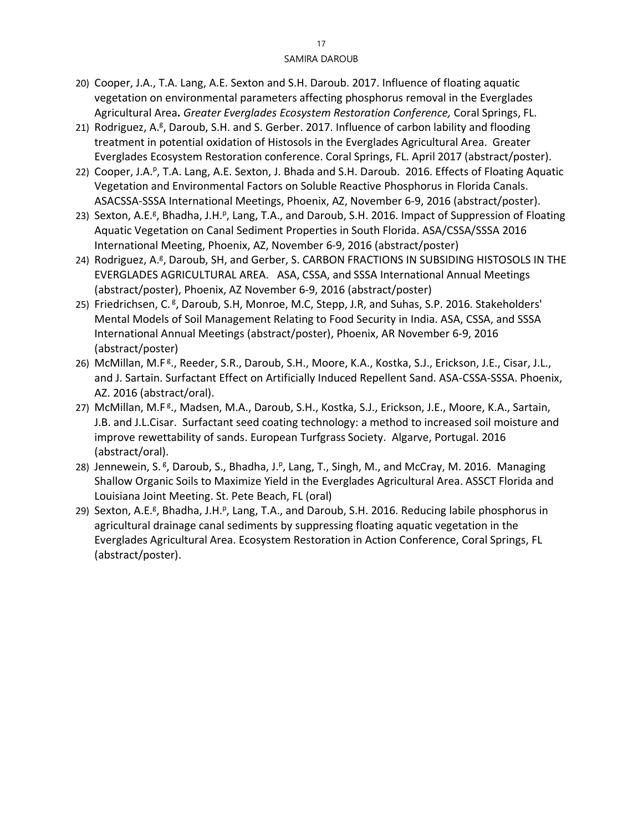- 20) Cooper, J.A., T.A. Lang, A.E. Sexton and S.H. Daroub. 2017. Influence of floating aquatic vegetation on environmental parameters affecting phosphorus removal in the Everglades Agricultural Area**.** *Greater Everglades Ecosystem Restoration Conference,* Coral Springs, FL.
- 21) Rodriguez, A.<sup>g</sup>, Daroub, S.H. and S. Gerber. 2017. Influence of carbon lability and flooding treatment in potential oxidation of Histosols in the Everglades Agricultural Area. Greater Everglades Ecosystem Restoration conference. Coral Springs, FL. April 2017 (abstract/poster).
- 22) Cooper, J.A.<sup>p</sup>, T.A. Lang, A.E. Sexton, J. Bhada and S.H. Daroub. 2016. Effects of Floating Aquatic Vegetation and Environmental Factors on Soluble Reactive Phosphorus in Florida Canals. ASACSSA-SSSA International Meetings, Phoenix, AZ, November 6-9, 2016 (abstract/poster).
- 23) Sexton, A.E.<sup>g</sup>, Bhadha, J.H.<sup>p</sup>, Lang, T.A., and Daroub, S.H. 2016. Impact of Suppression of Floating Aquatic Vegetation on Canal Sediment Properties in South Florida. ASA/CSSA/SSSA 2016 International Meeting, Phoenix, AZ, November 6-9, 2016 (abstract/poster)
- 24) Rodriguez, A.<sup>g</sup>, Daroub, SH, and Gerber, S. CARBON FRACTIONS IN SUBSIDING HISTOSOLS IN THE EVERGLADES AGRICULTURAL AREA. ASA, CSSA, and SSSA International Annual Meetings (abstract/poster), Phoenix, AZ November 6-9, 2016 (abstract/poster)
- 25) Friedrichsen, C. <sup>g</sup>, Daroub, S.H, Monroe, M.C, Stepp, J.R, and Suhas, S.P. 2016. Stakeholders' Mental Models of Soil Management Relating to Food Security in India. ASA, CSSA, and SSSA International Annual Meetings (abstract/poster), Phoenix, AR November 6-9, 2016 (abstract/poster)
- 26) McMillan, M.F<sup>g</sup>., Reeder, S.R., Daroub, S.H., Moore, K.A., Kostka, S.J., Erickson, J.E., Cisar, J.L., and J. Sartain. Surfactant Effect on Artificially Induced Repellent Sand. ASA-CSSA-SSSA. Phoenix, AZ. 2016 (abstract/oral).
- 27) McMillan, M.F<sup>g</sup>., Madsen, M.A., Daroub, S.H., Kostka, S.J., Erickson, J.E., Moore, K.A., Sartain, J.B. and J.L.Cisar. Surfactant seed coating technology: a method to increased soil moisture and improve rewettability of sands. European Turfgrass Society. Algarve, Portugal. 2016 (abstract/oral).
- 28) Jennewein, S. <sup>g</sup>, Daroub, S., Bhadha, J. <sup>p</sup>, Lang, T., Singh, M., and McCray, M. 2016. Managing Shallow Organic Soils to Maximize Yield in the Everglades Agricultural Area. ASSCT Florida and Louisiana Joint Meeting. St. Pete Beach, FL (oral)
- 29) Sexton, A.E.<sup>g</sup>, Bhadha, J.H.<sup>p</sup>, Lang, T.A., and Daroub, S.H. 2016. Reducing labile phosphorus in agricultural drainage canal sediments by suppressing floating aquatic vegetation in the Everglades Agricultural Area. Ecosystem Restoration in Action Conference, Coral Springs, FL (abstract/poster).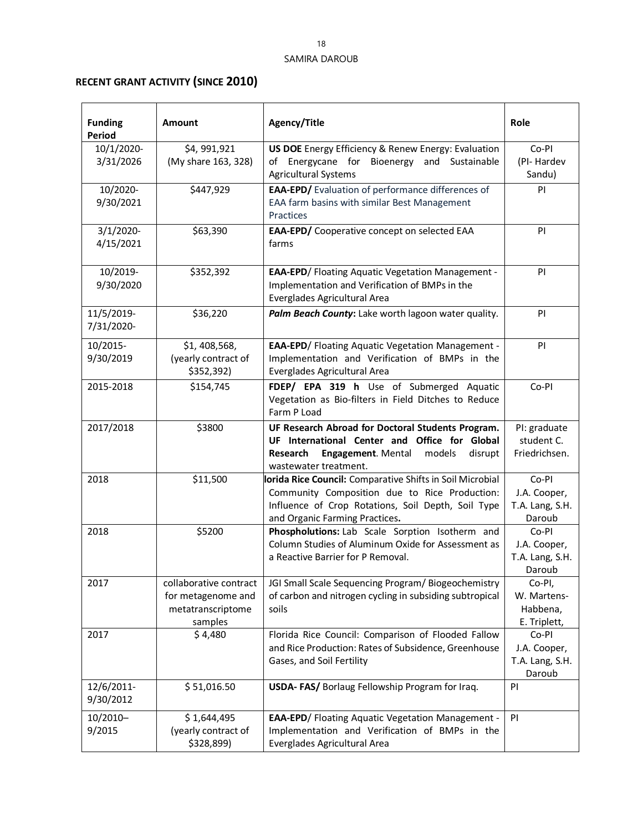# **RECENT GRANT ACTIVITY (SINCE 2010)**

| <b>Funding</b><br><b>Period</b> | <b>Amount</b>                                                                | Agency/Title                                                                                                                                                                                       | Role                                               |
|---------------------------------|------------------------------------------------------------------------------|----------------------------------------------------------------------------------------------------------------------------------------------------------------------------------------------------|----------------------------------------------------|
| 10/1/2020-<br>3/31/2026         | \$4,991,921<br>(My share 163, 328)                                           | US DOE Energy Efficiency & Renew Energy: Evaluation<br>of Energycane for Bioenergy and Sustainable<br><b>Agricultural Systems</b>                                                                  | Co-PI<br>(PI-Hardev<br>Sandu)                      |
| 10/2020-<br>9/30/2021           | \$447,929                                                                    | EAA-EPD/ Evaluation of performance differences of<br>EAA farm basins with similar Best Management<br>Practices                                                                                     | PI                                                 |
| $3/1/2020$ -<br>4/15/2021       | \$63,390                                                                     | EAA-EPD/ Cooperative concept on selected EAA<br>farms                                                                                                                                              | PI                                                 |
| 10/2019-<br>9/30/2020           | \$352,392                                                                    | <b>EAA-EPD/ Floating Aquatic Vegetation Management -</b><br>Implementation and Verification of BMPs in the<br>Everglades Agricultural Area                                                         | PI                                                 |
| 11/5/2019-<br>7/31/2020-        | \$36,220                                                                     | Palm Beach County: Lake worth lagoon water quality.                                                                                                                                                | PI                                                 |
| 10/2015-<br>9/30/2019           | \$1,408,568,<br>(yearly contract of<br>\$352,392)                            | <b>EAA-EPD/ Floating Aquatic Vegetation Management -</b><br>Implementation and Verification of BMPs in the<br>Everglades Agricultural Area                                                         | PI                                                 |
| 2015-2018                       | \$154,745                                                                    | FDEP/ EPA 319 h Use of Submerged Aquatic<br>Vegetation as Bio-filters in Field Ditches to Reduce<br>Farm P Load                                                                                    | Co-PI                                              |
| 2017/2018                       | \$3800                                                                       | UF Research Abroad for Doctoral Students Program.<br>UF International Center and Office for Global<br>Research<br>Engagement. Mental<br>models<br>disrupt<br>wastewater treatment.                 | PI: graduate<br>student C.<br>Friedrichsen.        |
| 2018                            | \$11,500                                                                     | lorida Rice Council: Comparative Shifts in Soil Microbial<br>Community Composition due to Rice Production:<br>Influence of Crop Rotations, Soil Depth, Soil Type<br>and Organic Farming Practices. | Co-PI<br>J.A. Cooper,<br>T.A. Lang, S.H.<br>Daroub |
| 2018                            | \$5200                                                                       | Phospholutions: Lab Scale Sorption Isotherm and<br>Column Studies of Aluminum Oxide for Assessment as<br>a Reactive Barrier for P Removal.                                                         | Co-PI<br>J.A. Cooper,<br>T.A. Lang, S.H.<br>Daroub |
| 2017                            | collaborative contract<br>for metagenome and<br>metatranscriptome<br>samples | JGI Small Scale Sequencing Program/Biogeochemistry<br>of carbon and nitrogen cycling in subsiding subtropical<br>soils                                                                             | Co-PI,<br>W. Martens-<br>Habbena,<br>E. Triplett,  |
| 2017                            | \$4,480                                                                      | Florida Rice Council: Comparison of Flooded Fallow<br>and Rice Production: Rates of Subsidence, Greenhouse<br>Gases, and Soil Fertility                                                            | Co-PI<br>J.A. Cooper,<br>T.A. Lang, S.H.<br>Daroub |
| 12/6/2011-<br>9/30/2012         | \$ 51,016.50                                                                 | USDA-FAS/ Borlaug Fellowship Program for Iraq.                                                                                                                                                     | PI                                                 |
| $10/2010 -$<br>9/2015           | \$1,644,495<br>(yearly contract of<br>\$328,899)                             | <b>EAA-EPD/ Floating Aquatic Vegetation Management -</b><br>Implementation and Verification of BMPs in the<br>Everglades Agricultural Area                                                         | PI                                                 |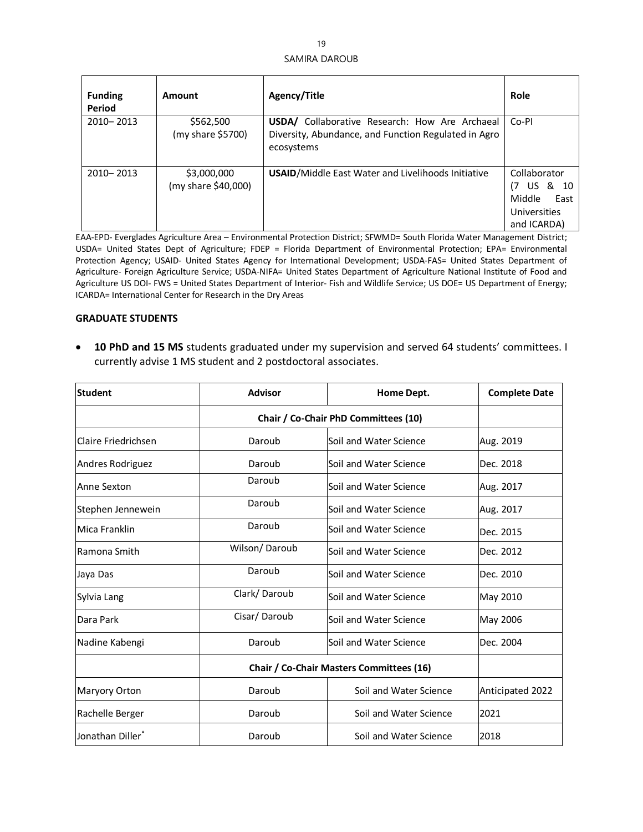| <b>Funding</b><br>Period | Amount                             | <b>Agency/Title</b>                                                                                                         | Role                                                                                 |
|--------------------------|------------------------------------|-----------------------------------------------------------------------------------------------------------------------------|--------------------------------------------------------------------------------------|
| 2010-2013                | \$562,500<br>(my share \$5700)     | <b>USDA/</b> Collaborative Research: How Are Archaeal<br>Diversity, Abundance, and Function Regulated in Agro<br>ecosystems | Co-PI                                                                                |
| 2010-2013                | \$3,000,000<br>(my share \$40,000) | <b>USAID/Middle East Water and Livelihoods Initiative</b>                                                                   | Collaborator<br>& 10<br>US I<br>(7)<br>Middle<br>East<br>Universities<br>and ICARDA) |

EAA-EPD- Everglades Agriculture Area – Environmental Protection District; SFWMD= South Florida Water Management District; USDA= United States Dept of Agriculture; FDEP = Florida Department of Environmental Protection; EPA= Environmental Protection Agency; USAID- United States Agency for International Development; USDA-FAS= United States Department of Agriculture- Foreign Agriculture Service; USDA-NIFA= United States Department of Agriculture National Institute of Food and Agriculture US DOI- FWS = United States Department of Interior- Fish and Wildlife Service; US DOE= US Department of Energy; ICARDA= International Center for Research in the Dry Areas

#### **GRADUATE STUDENTS**

• **10 PhD and 15 MS** students graduated under my supervision and served 64 students' committees. I currently advise 1 MS student and 2 postdoctoral associates.

| <b>Student</b>             | <b>Advisor</b>                           | Home Dept.             | <b>Complete Date</b> |
|----------------------------|------------------------------------------|------------------------|----------------------|
|                            | Chair / Co-Chair PhD Committees (10)     |                        |                      |
| <b>Claire Friedrichsen</b> | Daroub                                   | Soil and Water Science | Aug. 2019            |
| Andres Rodriguez           | Daroub                                   | Soil and Water Science | Dec. 2018            |
| Anne Sexton                | Daroub                                   | Soil and Water Science | Aug. 2017            |
| Stephen Jennewein          | Daroub                                   | Soil and Water Science | Aug. 2017            |
| Mica Franklin              | Daroub                                   | Soil and Water Science | Dec. 2015            |
| Ramona Smith               | Wilson/Daroub                            | Soil and Water Science | Dec. 2012            |
| Jaya Das                   | Daroub                                   | Soil and Water Science | Dec. 2010            |
| Sylvia Lang                | Clark/Daroub                             | Soil and Water Science | May 2010             |
| Dara Park                  | Cisar/Daroub                             | Soil and Water Science | May 2006             |
| Nadine Kabengi             | Daroub                                   | Soil and Water Science | Dec. 2004            |
|                            | Chair / Co-Chair Masters Committees (16) |                        |                      |
| Maryory Orton              | Daroub                                   | Soil and Water Science | Anticipated 2022     |
| Rachelle Berger            | Daroub                                   | Soil and Water Science | 2021                 |
| Jonathan Diller*           | Daroub                                   | Soil and Water Science | 2018                 |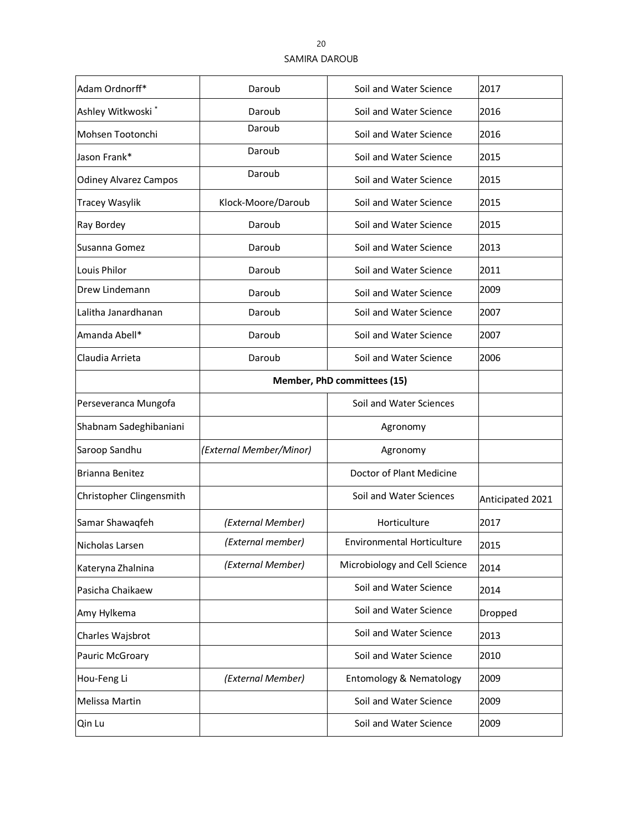| Adam Ordnorff*               | Daroub                      | Soil and Water Science            | 2017             |
|------------------------------|-----------------------------|-----------------------------------|------------------|
| Ashley Witkwoski*            | Daroub                      | Soil and Water Science            | 2016             |
| Mohsen Tootonchi             | Daroub                      | Soil and Water Science            | 2016             |
| Jason Frank*                 | Daroub                      | Soil and Water Science            | 2015             |
| <b>Odiney Alvarez Campos</b> | Daroub                      | Soil and Water Science            | 2015             |
| <b>Tracey Wasylik</b>        | Klock-Moore/Daroub          | Soil and Water Science            | 2015             |
| Ray Bordey                   | Daroub                      | Soil and Water Science            | 2015             |
| Susanna Gomez                | Daroub                      | Soil and Water Science            | 2013             |
| Louis Philor                 | Daroub                      | Soil and Water Science            | 2011             |
| Drew Lindemann               | Daroub                      | Soil and Water Science            | 2009             |
| Lalitha Janardhanan          | Daroub                      | Soil and Water Science            | 2007             |
| Amanda Abell*                | Daroub                      | Soil and Water Science            | 2007             |
| Claudia Arrieta              | Daroub                      | Soil and Water Science            | 2006             |
|                              | Member, PhD committees (15) |                                   |                  |
| Perseveranca Mungofa         |                             | Soil and Water Sciences           |                  |
| Shabnam Sadeghibaniani       |                             | Agronomy                          |                  |
| Saroop Sandhu                | (External Member/Minor)     | Agronomy                          |                  |
| Brianna Benitez              |                             | Doctor of Plant Medicine          |                  |
| Christopher Clingensmith     |                             | Soil and Water Sciences           | Anticipated 2021 |
| Samar Shawaqfeh              | (External Member)           | Horticulture                      | 2017             |
| Nicholas Larsen              | (External member)           | <b>Environmental Horticulture</b> | 2015             |
| Kateryna Zhalnina            | (External Member)           | Microbiology and Cell Science     | 2014             |
| Pasicha Chaikaew             |                             | Soil and Water Science            | 2014             |
| Amy Hylkema                  |                             | Soil and Water Science            | Dropped          |
| Charles Wajsbrot             |                             | Soil and Water Science            | 2013             |
| Pauric McGroary              |                             | Soil and Water Science            | 2010             |
| Hou-Feng Li                  | (External Member)           | Entomology & Nematology           | 2009             |
| Melissa Martin               |                             | Soil and Water Science            | 2009             |
| Qin Lu                       |                             | Soil and Water Science            | 2009             |
|                              |                             |                                   |                  |